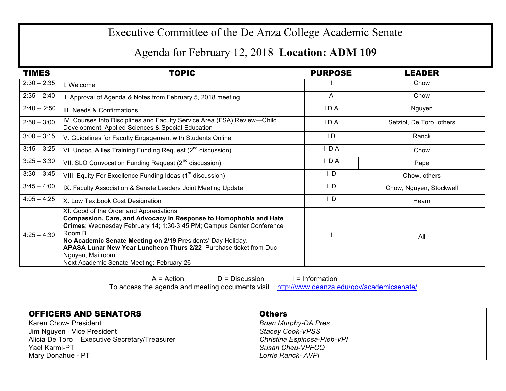## Executive Committee of the De Anza College Academic Senate

## Agenda for February 12, 2018 **Location: ADM 109**

| <b>TIMES</b>  | <b>TOPIC</b>                                                                                                                                                                                                                                                                                                                                                                                         | <b>PURPOSE</b> | <b>LEADER</b>            |
|---------------|------------------------------------------------------------------------------------------------------------------------------------------------------------------------------------------------------------------------------------------------------------------------------------------------------------------------------------------------------------------------------------------------------|----------------|--------------------------|
| $2:30 - 2:35$ | I. Welcome                                                                                                                                                                                                                                                                                                                                                                                           |                | Chow                     |
| $2:35 - 2:40$ | II. Approval of Agenda & Notes from February 5, 2018 meeting                                                                                                                                                                                                                                                                                                                                         | $\mathsf{A}$   | Chow                     |
| $2:40 - 2:50$ | III. Needs & Confirmations                                                                                                                                                                                                                                                                                                                                                                           | IDA            | Nguyen                   |
| $2:50 - 3:00$ | IV. Courses Into Disciplines and Faculty Service Area (FSA) Review-Child<br>Development, Applied Sciences & Special Education                                                                                                                                                                                                                                                                        | IDA            | Setziol, De Toro, others |
| $3:00 - 3:15$ | V. Guidelines for Faculty Engagement with Students Online                                                                                                                                                                                                                                                                                                                                            | $\overline{D}$ | Ranck                    |
| $3:15 - 3:25$ | VI. UndocuAllies Training Funding Request (2 <sup>nd</sup> discussion)                                                                                                                                                                                                                                                                                                                               | D A            | Chow                     |
| $3:25 - 3:30$ | VII. SLO Convocation Funding Request (2 <sup>nd</sup> discussion)                                                                                                                                                                                                                                                                                                                                    | I D A          | Pape                     |
| $3:30 - 3:45$ | VIII. Equity For Excellence Funding Ideas (1 <sup>st</sup> discussion)                                                                                                                                                                                                                                                                                                                               | ID.            | Chow, others             |
| $3:45 - 4:00$ | IX. Faculty Association & Senate Leaders Joint Meeting Update                                                                                                                                                                                                                                                                                                                                        | $\overline{D}$ | Chow, Nguyen, Stockwell  |
| $4:05 - 4:25$ | X. Low Textbook Cost Designation                                                                                                                                                                                                                                                                                                                                                                     | ID.            | Hearn                    |
| $4:25 - 4:30$ | XI. Good of the Order and Appreciations<br>Compassion, Care, and Advocacy In Response to Homophobia and Hate<br>Crimes; Wednesday February 14; 1:30-3:45 PM; Campus Center Conference<br>Room B<br>No Academic Senate Meeting on 2/19 Presidents' Day Holiday.<br>APASA Lunar New Year Luncheon Thurs 2/22 Purchase ticket from Duc<br>Nguyen, Mailroom<br>Next Academic Senate Meeting: February 26 |                | All                      |

 $A = Action$  D = Discussion I = Information

To access the agenda and meeting documents visit http://www.deanza.edu/gov/academicsenate/

| <b>OFFICERS AND SENATORS</b>                   | <b>Others</b>               |
|------------------------------------------------|-----------------------------|
| Karen Chow- President                          | <b>Brian Murphy-DA Pres</b> |
| Jim Nguyen - Vice President                    | <b>Stacey Cook-VPSS</b>     |
| Alicia De Toro - Executive Secretary/Treasurer | Christina Espinosa-Pieb-VPI |
| Yael Karmi-PT                                  | Susan Cheu-VPFCO            |
| Mary Donahue - PT                              | <b>Lorrie Ranck- AVPI</b>   |